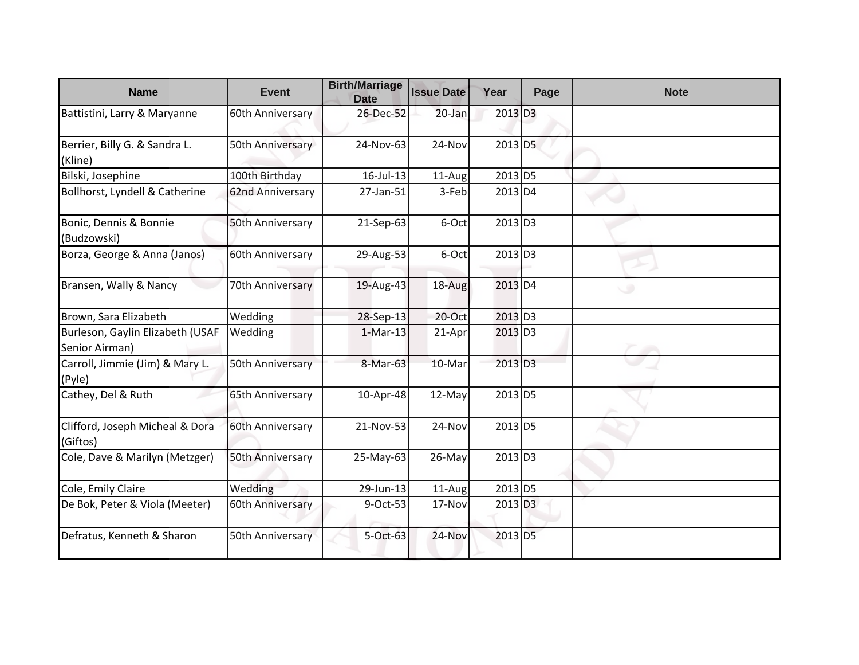| <b>Name</b>                                        | <b>Event</b>     | <b>Birth/Marriage</b><br><b>Date</b> | <b>Issue Date</b> | Year                  | Page | <b>Note</b> |
|----------------------------------------------------|------------------|--------------------------------------|-------------------|-----------------------|------|-------------|
| Battistini, Larry & Maryanne                       | 60th Anniversary | 26-Dec-52                            | 20-Jan            | 2013 D3               |      |             |
| Berrier, Billy G. & Sandra L.<br>(Kline)           | 50th Anniversary | 24-Nov-63                            | 24-Nov            | $2013$ D <sub>5</sub> |      |             |
| Bilski, Josephine                                  | 100th Birthday   | $16$ -Jul-13                         | 11-Aug            | 2013 D5               |      |             |
| Bollhorst, Lyndell & Catherine                     | 62nd Anniversary | 27-Jan-51                            | 3-Feb             | 2013 D4               |      |             |
| Bonic, Dennis & Bonnie<br>(Budzowski)              | 50th Anniversary | 21-Sep-63                            | 6-Oct             | $2013$ D3             |      |             |
| Borza, George & Anna (Janos)                       | 60th Anniversary | 29-Aug-53                            | 6-Oct             | $2013$ D <sub>3</sub> |      |             |
| Bransen, Wally & Nancy                             | 70th Anniversary | 19-Aug-43                            | 18-Aug            | 2013 D4               |      |             |
| Brown, Sara Elizabeth                              | Wedding          | 28-Sep-13                            | $20$ -Oct         | 2013 D3               |      |             |
| Burleson, Gaylin Elizabeth (USAF<br>Senior Airman) | Wedding          | $1-Mar-13$                           | 21-Apr            | $2013$ D <sub>3</sub> |      |             |
| Carroll, Jimmie (Jim) & Mary L.<br>(Pyle)          | 50th Anniversary | 8-Mar-63                             | 10-Mar            | $2013$ D <sub>3</sub> |      |             |
| Cathey, Del & Ruth                                 | 65th Anniversary | 10-Apr-48                            | 12-May            | 2013 D5               |      |             |
| Clifford, Joseph Micheal & Dora<br>(Giftos)        | 60th Anniversary | 21-Nov-53                            | 24-Nov            | $2013$ D <sub>5</sub> |      |             |
| Cole, Dave & Marilyn (Metzger)                     | 50th Anniversary | 25-May-63                            | 26-May            | $2013$ D <sub>3</sub> |      |             |
| Cole, Emily Claire                                 | Wedding          | 29-Jun-13                            | 11-Aug            | 2013 D5               |      |             |
| De Bok, Peter & Viola (Meeter)                     | 60th Anniversary | 9-Oct-53                             | 17-Nov            | $2013$ D <sub>3</sub> |      |             |
| Defratus, Kenneth & Sharon                         | 50th Anniversary | 5-Oct-63                             | 24-Nov            | $2013$ D <sub>5</sub> |      |             |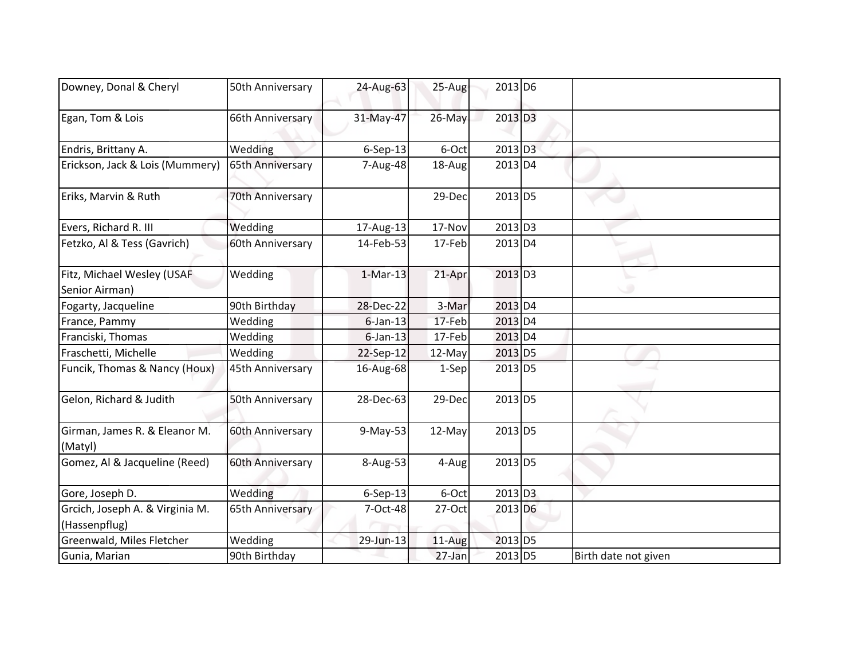| Downey, Donal & Cheryl                           | 50th Anniversary | 24-Aug-63      | 25-Aug  | 2013 D6               |                      |
|--------------------------------------------------|------------------|----------------|---------|-----------------------|----------------------|
| Egan, Tom & Lois                                 | 66th Anniversary | 31-May-47      | 26-May  | 2013 D3               |                      |
| Endris, Brittany A.                              | Wedding          | $6-Sep-13$     | 6-Oct   | 2013 D3               |                      |
| Erickson, Jack & Lois (Mummery)                  | 65th Anniversary | 7-Aug-48       | 18-Aug  | 2013 D4               |                      |
| Eriks, Marvin & Ruth                             | 70th Anniversary |                | 29-Dec  | 2013 D5               |                      |
| Evers, Richard R. III                            | Wedding          | 17-Aug-13      | 17-Nov  | 2013 D3               |                      |
| Fetzko, Al & Tess (Gavrich)                      | 60th Anniversary | 14-Feb-53      | 17-Feb  | 2013 D4               |                      |
| Fitz, Michael Wesley (USAF<br>Senior Airman)     | Wedding          | $1-Mar-13$     | 21-Apr  | $2013$ D <sub>3</sub> |                      |
| Fogarty, Jacqueline                              | 90th Birthday    | 28-Dec-22      | 3-Mar   | $2013$ D4             |                      |
| France, Pammy                                    | Wedding          | $6$ -Jan-13    | 17-Feb  | $2013$ D4             |                      |
| Franciski, Thomas                                | Wedding          | $6$ -Jan-13    | 17-Feb  | 2013 D4               |                      |
| Fraschetti, Michelle                             | Wedding          | 22-Sep-12      | 12-May  | 2013 D5               |                      |
| Funcik, Thomas & Nancy (Houx)                    | 45th Anniversary | 16-Aug-68      | $1-Sep$ | 2013 D5               |                      |
| Gelon, Richard & Judith                          | 50th Anniversary | 28-Dec-63      | 29-Dec  | 2013 D5               |                      |
| Girman, James R. & Eleanor M.<br>(Matyl)         | 60th Anniversary | $9-May-53$     | 12-May  | 2013 D5               |                      |
| Gomez, Al & Jacqueline (Reed)                    | 60th Anniversary | 8-Aug-53       | 4-Aug   | 2013 D5               |                      |
| Gore, Joseph D.                                  | Wedding          | $6-$ Sep $-13$ | 6-Oct   | $2013$ D <sub>3</sub> |                      |
| Grcich, Joseph A. & Virginia M.<br>(Hassenpflug) | 65th Anniversary | 7-Oct-48       | 27-Oct  | 2013 D6               |                      |
| Greenwald, Miles Fletcher                        | Wedding          | 29-Jun-13      | 11-Aug  | 2013 D5               |                      |
| Gunia, Marian                                    | 90th Birthday    |                | 27-Jan  | 2013 D5               | Birth date not given |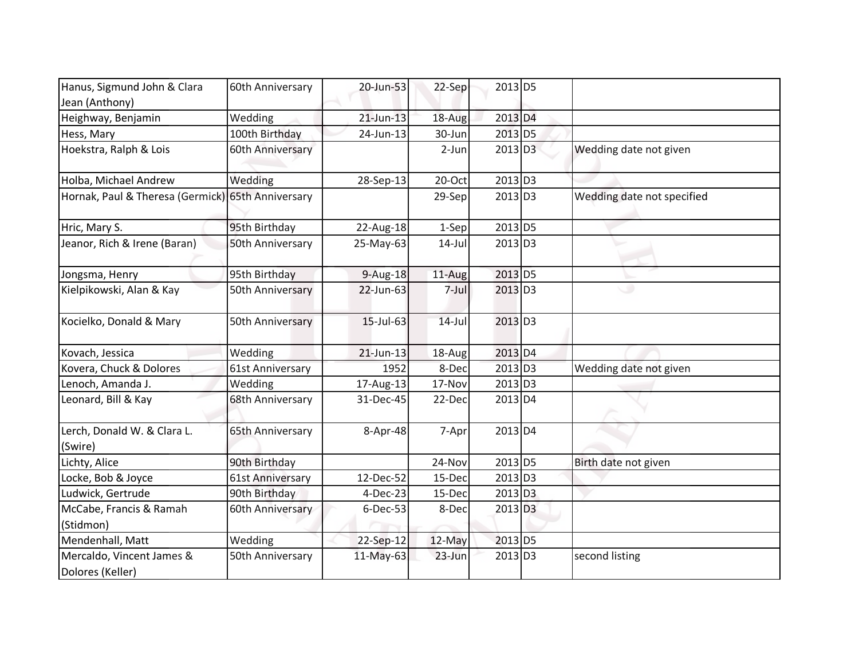| Hanus, Sigmund John & Clara                       | 60th Anniversary | 20-Jun-53    | 22-Sep    | 2013 D5               |                            |
|---------------------------------------------------|------------------|--------------|-----------|-----------------------|----------------------------|
| Jean (Anthony)                                    |                  |              |           |                       |                            |
| Heighway, Benjamin                                | Wedding          | $21$ -Jun-13 | 18-Aug    | 2013 D4               |                            |
| Hess, Mary                                        | 100th Birthday   | 24-Jun-13    | 30-Jun    | 2013 D5               |                            |
| Hoekstra, Ralph & Lois                            | 60th Anniversary |              | 2-Jun     | 2013 D3               | Wedding date not given     |
| Holba, Michael Andrew                             | Wedding          | 28-Sep-13    | 20-Oct    | 2013 D3               |                            |
| Hornak, Paul & Theresa (Germick) 65th Anniversary |                  |              | $29-Sep$  | 2013 D3               | Wedding date not specified |
| Hric, Mary S.                                     | 95th Birthday    | 22-Aug-18    | $1-Sep$   | 2013 D5               |                            |
| Jeanor, Rich & Irene (Baran)                      | 50th Anniversary | 25-May-63    | $14$ -Jul | $2013$ D <sub>3</sub> |                            |
| Jongsma, Henry                                    | 95th Birthday    | $9-Aug-18$   | 11-Aug    | 2013 D5               |                            |
| Kielpikowski, Alan & Kay                          | 50th Anniversary | 22-Jun-63    | 7-Jul     | 2013 D3               | ر                          |
| Kocielko, Donald & Mary                           | 50th Anniversary | 15-Jul-63    | $14$ -Jul | $2013$ D <sub>3</sub> |                            |
| Kovach, Jessica                                   | Wedding          | $21$ -Jun-13 | 18-Aug    | 2013 D4               |                            |
| Kovera, Chuck & Dolores                           | 61st Anniversary | 1952         | 8-Dec     | 2013 D3               | Wedding date not given     |
| Lenoch, Amanda J.                                 | Wedding          | 17-Aug-13    | 17-Nov    | 2013 D3               |                            |
| Leonard, Bill & Kay                               | 68th Anniversary | 31-Dec-45    | 22-Dec    | 2013 D4               |                            |
| Lerch, Donald W. & Clara L.<br>(Swire)            | 65th Anniversary | 8-Apr-48     | $7-Apr$   | 2013 D4               |                            |
| Lichty, Alice                                     | 90th Birthday    |              | 24-Nov    | 2013 D5               | Birth date not given       |
| Locke, Bob & Joyce                                | 61st Anniversary | 12-Dec-52    | 15-Dec    | 2013 D3               |                            |
| Ludwick, Gertrude                                 | 90th Birthday    | 4-Dec-23     | 15-Dec    | 2013 D3               |                            |
| McCabe, Francis & Ramah<br>(Stidmon)              | 60th Anniversary | 6-Dec-53     | 8-Dec     | 2013 D3               |                            |
| Mendenhall, Matt                                  | Wedding          | 22-Sep-12    | 12-May    | 2013 D5               |                            |
| Mercaldo, Vincent James &<br>Dolores (Keller)     | 50th Anniversary | 11-May-63    | 23-Jun    | 2013 D3               | second listing             |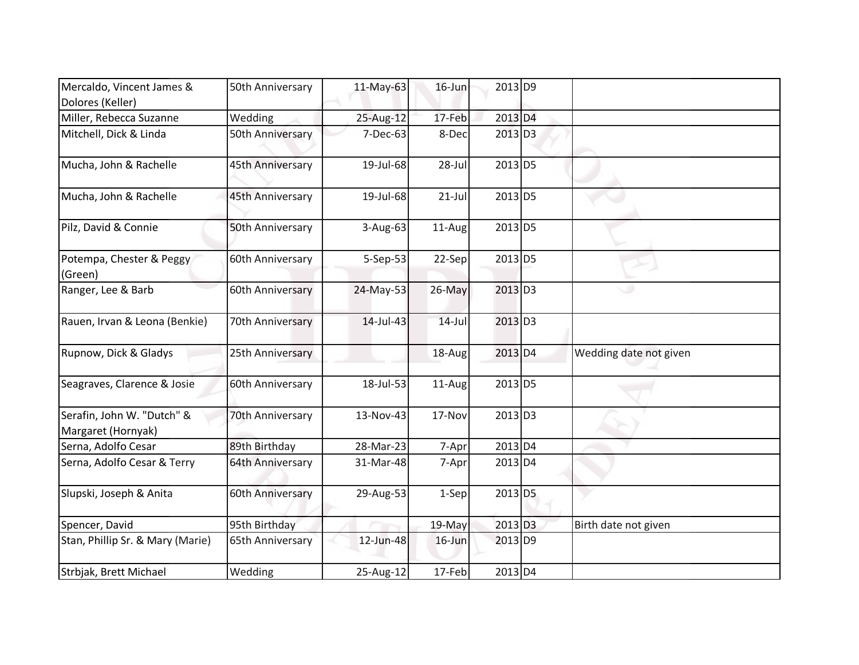| Mercaldo, Vincent James &<br>Dolores (Keller)    | 50th Anniversary | 11-May-63 | $16$ -Jun | 2013 D9               |                        |
|--------------------------------------------------|------------------|-----------|-----------|-----------------------|------------------------|
| Miller, Rebecca Suzanne                          | Wedding          | 25-Aug-12 | 17-Feb    | 2013 D4               |                        |
| Mitchell, Dick & Linda                           | 50th Anniversary | 7-Dec-63  | 8-Dec     | $2013$ D <sub>3</sub> |                        |
| Mucha, John & Rachelle                           | 45th Anniversary | 19-Jul-68 | 28-Jul    | 2013 D5               |                        |
| Mucha, John & Rachelle                           | 45th Anniversary | 19-Jul-68 | $21-Jul$  | 2013 D5               |                        |
| Pilz, David & Connie                             | 50th Anniversary | 3-Aug-63  | 11-Aug    | 2013 D5               |                        |
| Potempa, Chester & Peggy<br>(Green)              | 60th Anniversary | 5-Sep-53  | $22-Sep$  | 2013 D5               |                        |
| Ranger, Lee & Barb                               | 60th Anniversary | 24-May-53 | 26-May    | 2013 D3               |                        |
| Rauen, Irvan & Leona (Benkie)                    | 70th Anniversary | 14-Jul-43 | $14$ -Jul | $2013$ D <sub>3</sub> |                        |
| Rupnow, Dick & Gladys                            | 25th Anniversary |           | 18-Aug    | 2013 D4               | Wedding date not given |
| Seagraves, Clarence & Josie                      | 60th Anniversary | 18-Jul-53 | $11-Aug$  | 2013 D5               |                        |
| Serafin, John W. "Dutch" &<br>Margaret (Hornyak) | 70th Anniversary | 13-Nov-43 | 17-Nov    | $2013$ D <sub>3</sub> |                        |
| Serna, Adolfo Cesar                              | 89th Birthday    | 28-Mar-23 | 7-Apr     | 2013 D4               |                        |
| Serna, Adolfo Cesar & Terry                      | 64th Anniversary | 31-Mar-48 | 7-Apr     | 2013 D4               |                        |
| Slupski, Joseph & Anita                          | 60th Anniversary | 29-Aug-53 | $1-Sep$   | $2013$ D <sub>5</sub> |                        |
| Spencer, David                                   | 95th Birthday    |           | 19-May    | 2013 D3               | Birth date not given   |
| Stan, Phillip Sr. & Mary (Marie)                 | 65th Anniversary | 12-Jun-48 | $16$ -Jun | 2013 D9               |                        |
| Strbjak, Brett Michael                           | Wedding          | 25-Aug-12 | 17-Feb    | 2013 D4               |                        |